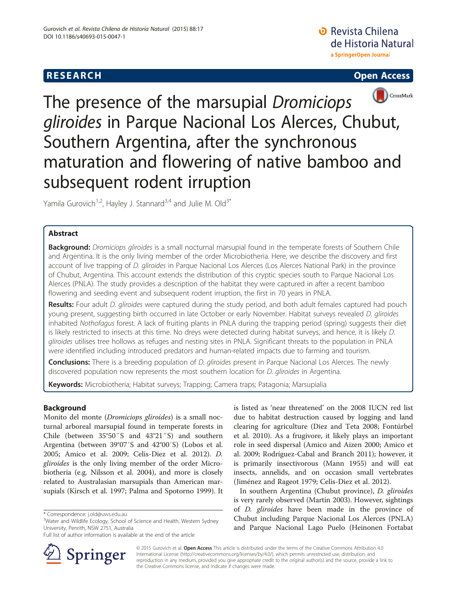# **RESEARCH CHINESE ARCH CHINESE ARCH CHINESE ARCH <b>CHINESE ARCH**





The presence of the marsupial Dromiciops gliroides in Parque Nacional Los Alerces, Chubut, Southern Argentina, after the synchronous maturation and flowering of native bamboo and subsequent rodent irruption

Yamila Gurovich<sup>1,2</sup>, Hayley J. Stannard<sup>3,4</sup> and Julie M. Old<sup>3\*</sup>

# Abstract

Background: Dromiciops gliroides is a small nocturnal marsupial found in the temperate forests of Southern Chile and Argentina. It is the only living member of the order Microbiotheria. Here, we describe the discovery and first account of live trapping of D. gliroides in Parque Nacional Los Alerces (Los Alerces National Park) in the province of Chubut, Argentina. This account extends the distribution of this cryptic species south to Parque Nacional Los Alerces (PNLA). The study provides a description of the habitat they were captured in after a recent bamboo flowering and seeding event and subsequent rodent irruption, the first in 70 years in PNLA.

Results: Four adult D. gliroides were captured during the study period, and both adult females captured had pouch young present, suggesting birth occurred in late October or early November. Habitat surveys revealed D. gliroides inhabited Nothofagus forest. A lack of fruiting plants in PNLA during the trapping period (spring) suggests their diet is likely restricted to insects at this time. No dreys were detected during habitat surveys, and hence, it is likely D. gliroides utilises tree hollows as refuges and nesting sites in PNLA. Significant threats to the population in PNLA were identified including introduced predators and human-related impacts due to farming and tourism.

Conclusions: There is a breeding population of D. gliroides present in Parque Nacional Los Alerces. The newly discovered population now represents the most southern location for *D. gliroides* in Argentina.

Keywords: Microbiotheria; Habitat surveys; Trapping; Camera traps; Patagonia; Marsupialia

# Background

Monito del monte (Dromiciops gliroides) is a small nocturnal arboreal marsupial found in temperate forests in Chile (between 35°50″S and 43°21″S) and southern Argentina (between 39°07′S and 42°00′S) (Lobos et al. [2005](#page-10-0); Amico et al. [2009;](#page-10-0) Celis-Diez et al. [2012](#page-10-0)). D. gliroides is the only living member of the order Microbiotheria (e.g. Nilsson et al. [2004](#page-10-0)), and more is closely related to Australasian marsupials than American marsupials (Kirsch et al. [1997;](#page-10-0) Palma and Spotorno [1999\)](#page-10-0). It

is listed as 'near threatened' on the 2008 IUCN red list due to habitat destruction caused by logging and land clearing for agriculture (Diez and Teta [2008](#page-10-0); Fontúrbel et al. [2010\)](#page-10-0). As a frugivore, it likely plays an important role in seed dispersal (Amico and Aizen [2000;](#page-10-0) Amico et al. [2009;](#page-10-0) Rodríguez-Cabal and Branch [2011\)](#page-10-0); however, it is primarily insectivorous (Mann [1955\)](#page-10-0) and will eat insects, annelids, and on occasion small vertebrates (Jiménez and Rageot [1979](#page-10-0); Celis-Diez et al. [2012](#page-10-0)).

In southern Argentina (Chubut province), D. gliroides is very rarely observed (Martin [2003](#page-10-0)). However, sightings of D. gliroides have been made in the province of Chubut including Parque Nacional Los Alerces (PNLA) and Parque Nacional Lago Puelo (Heinonen Fortabat



© 2015 Gurovich et al. Open Access This article is distributed under the terms of the Creative Commons Attribution 4.0 International License ([http://creativecommons.org/licenses/by/4.0/\)](http://creativecommons.org/licenses/by/4.0/), which permits unrestricted use, distribution, and reproduction in any medium, provided you give appropriate credit to the original author(s) and the source, provide a link to the Creative Commons license, and indicate if changes were made.

<sup>\*</sup> Correspondence: [j.old@uws.edu.au](mailto:j.old@uws.edu.au) <sup>3</sup>

<sup>&</sup>lt;sup>3</sup>Water and Wildlife Ecology, School of Science and Health, Western Sydney University, Penrith, NSW 2751, Australia

Full list of author information is available at the end of the article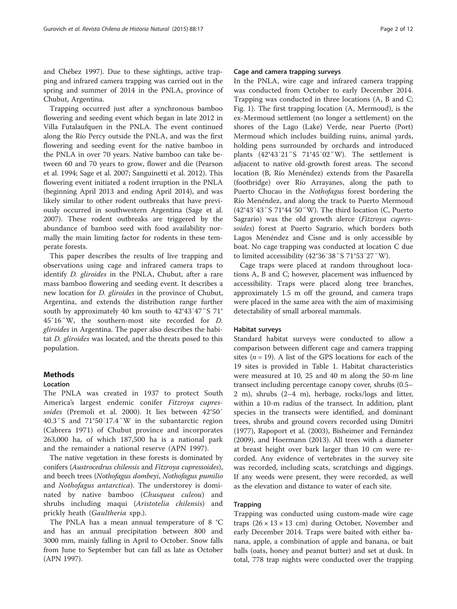and Chébez [1997](#page-10-0)). Due to these sightings, active trapping and infrared camera trapping was carried out in the spring and summer of 2014 in the PNLA, province of Chubut, Argentina.

Trapping occurred just after a synchronous bamboo flowering and seeding event which began in late 2012 in Villa Futalaufquen in the PNLA. The event continued along the Río Percy outside the PNLA, and was the first flowering and seeding event for the native bamboo in the PNLA in over 70 years. Native bamboo can take between 60 and 70 years to grow, flower and die (Pearson et al. [1994;](#page-10-0) Sage et al. [2007;](#page-10-0) Sanguinetti et al. [2012](#page-11-0)). This flowering event initiated a rodent irruption in the PNLA (beginning April 2013 and ending April 2014), and was likely similar to other rodent outbreaks that have previously occurred in southwestern Argentina (Sage et al. [2007](#page-10-0)). These rodent outbreaks are triggered by the abundance of bamboo seed with food availability normally the main limiting factor for rodents in these temperate forests.

This paper describes the results of live trapping and observations using cage and infrared camera traps to identify *D. gliroides* in the PNLA, Chubut, after a rare mass bamboo flowering and seeding event. It describes a new location for D. gliroides in the province of Chubut, Argentina, and extends the distribution range further south by approximately 40 km south to 42°43′47″S 71° 45′16″W, the southern-most site recorded for D. gliroides in Argentina. The paper also describes the habitat D. gliroides was located, and the threats posed to this population.

# **Methods**

#### Location

The PNLA was created in 1937 to protect South America's largest endemic conifer Fitzroya cupressoides (Premoli et al. [2000\)](#page-10-0). It lies between 42°50′ 40.3″S and 71°50′17.4″W in the subantarctic region (Cabrera [1971](#page-10-0)) of Chubut province and incorporates 263,000 ha, of which 187,500 ha is a national park and the remainder a national reserve (APN [1997\)](#page-10-0).

The native vegetation in these forests is dominated by conifers (Austrocedrus chilensis and Fitzroya cupressoides), and beech trees (Nothofagus dombeyi, Nothofagus pumilio and Nothofagus antarctica). The understorey is dominated by native bamboo (Chusquea culeou) and shrubs including maqui (Aristotelia chilensis) and prickly heath (Gaultheria spp.).

The PNLA has a mean annual temperature of 8 °C and has an annual precipitation between 800 and 3000 mm, mainly falling in April to October. Snow falls from June to September but can fall as late as October (APN [1997](#page-10-0)).

### Cage and camera trapping surveys

In the PNLA, wire cage and infrared camera trapping was conducted from October to early December 2014. Trapping was conducted in three locations (A, B and C; Fig. [1\)](#page-2-0). The first trapping location (A, Mermoud), is the ex-Mermoud settlement (no longer a settlement) on the shores of the Lago (Lake) Verde, near Puerto (Port) Mermoud which includes building ruins, animal yards, holding pens surrounded by orchards and introduced plants (42°43′21″S 71°45′02″W). The settlement is adjacent to native old-growth forest areas. The second location (B, Río Menéndez) extends from the Pasarella (footbridge) over Río Arrayanes, along the path to Puerto Chucao in the *Nothofagus* forest bordering the Río Menéndez, and along the track to Puerto Mermoud (42°43′43″S 71°44′50″W). The third location (C, Puerto Sagrario) was the old growth alerce (Fitzroya cupressoides) forest at Puerto Sagrario, which borders both Lagos Menéndez and Cisne and is only accessible by boat. No cage trapping was conducted at location C due to limited accessibility (42°36′38″S 71°53′27″W).

Cage traps were placed at random throughout locations A, B and C; however, placement was influenced by accessibility. Traps were placed along tree branches, approximately 1.5 m off the ground, and camera traps were placed in the same area with the aim of maximising detectability of small arboreal mammals.

#### Habitat surveys

Standard habitat surveys were conducted to allow a comparison between different cage and camera trapping sites  $(n = 19)$ . A list of the GPS locations for each of the 19 sites is provided in Table [1](#page-3-0). Habitat characteristics were measured at 10, 25 and 40 m along the 50-m line transect including percentage canopy cover, shrubs (0.5– 2 m), shrubs (2–4 m), herbage, rocks/logs and litter, within a 10-m radius of the transect. In addition, plant species in the transects were identified, and dominant trees, shrubs and ground covers recorded using Dimitri ([1977\)](#page-10-0), Rapoport et al. ([2003\)](#page-10-0), Bisheimer and Fernández ([2009\)](#page-10-0), and Hoermann ([2013\)](#page-10-0). All trees with a diameter at breast height over bark larger than 10 cm were recorded. Any evidence of vertebrates in the survey site was recorded, including scats, scratchings and diggings. If any weeds were present, they were recorded, as well as the elevation and distance to water of each site.

## Trapping

Trapping was conducted using custom-made wire cage traps  $(26 \times 13 \times 13$  cm) during October, November and early December 2014. Traps were baited with either banana, apple, a combination of apple and banana, or bait balls (oats, honey and peanut butter) and set at dusk. In total, 778 trap nights were conducted over the trapping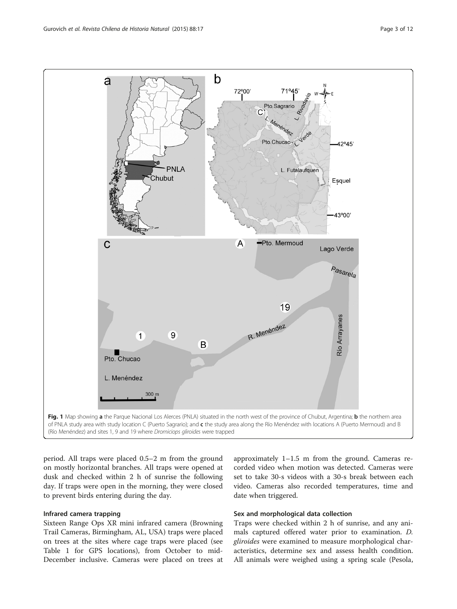<span id="page-2-0"></span>

period. All traps were placed 0.5–2 m from the ground on mostly horizontal branches. All traps were opened at dusk and checked within 2 h of sunrise the following day. If traps were open in the morning, they were closed to prevent birds entering during the day.

#### Infrared camera trapping

Sixteen Range Ops XR mini infrared camera (Browning Trail Cameras, Birmingham, AL, USA) traps were placed on trees at the sites where cage traps were placed (see Table [1](#page-3-0) for GPS locations), from October to mid-December inclusive. Cameras were placed on trees at approximately 1–1.5 m from the ground. Cameras recorded video when motion was detected. Cameras were set to take 30-s videos with a 30-s break between each video. Cameras also recorded temperatures, time and date when triggered.

## Sex and morphological data collection

Traps were checked within 2 h of sunrise, and any animals captured offered water prior to examination. D. gliroides were examined to measure morphological characteristics, determine sex and assess health condition. All animals were weighed using a spring scale (Pesola,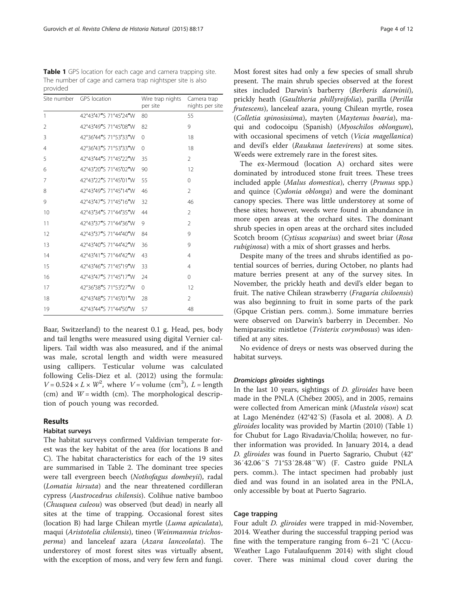<span id="page-3-0"></span>Table 1 GPS location for each cage and camera trapping site. The number of cage and camera trap nightsper site is also provided

|              | Site number GPS location | Wire trap nights<br>per site | Camera trap<br>nights per site |
|--------------|--------------------------|------------------------------|--------------------------------|
| $\mathbf{1}$ | 42°43'47"S 71°45'24"W    | 80                           | 55                             |
| 2            | 42°43'49"S 71°45'08"W    | 82                           | 9                              |
| 3            | 42°36'44"S 71°53'33"W    | $\Omega$                     | 18                             |
| 4            | 42°36'43"S 71°53'33"W    | $\Omega$                     | 18                             |
| 5            | 42°43'44"S 71°45'22"W    | 35                           | $\overline{2}$                 |
| 6            | 42°43'20"S 71°45'02"W    | 90                           | 12                             |
| 7            | 42°43'22"S 71°45'01"W    | 55                           | 0                              |
| 8            | 42°43'49"S 71°45'14"W    | 46                           | $\overline{2}$                 |
| 9            | 42°43'47"S 71°45'16"W    | 32                           | 46                             |
| 10           | 42°43'34"S 71°44'35"W    | 44                           | $\overline{2}$                 |
| 11           | 42°43'37"S 71°44'36"W    | 9                            | $\overline{2}$                 |
| 12           | 42°43'37"S 71°44'40"W    | 84                           | 9                              |
| 13           | 42°43'40"S 71°44'42"W    | 36                           | 9                              |
| 14           | 42°43'41"S 71°44'42"W    | 43                           | $\overline{4}$                 |
| 15           | 42°43'46"S 71°45'19"W    | 33                           | $\overline{4}$                 |
| 16           | 42°43'47"S 71°45'17"W    | 24                           | $\Omega$                       |
| 17           | 42°36'38"S 71°53'27"W    | 0                            | 12                             |
| 18           | 42°43'48"S 71°45'01"W    | 28                           | $\overline{2}$                 |
| 19           | 42°43'44"S 71°44'50"W    | 57                           | 48                             |

Baar, Switzerland) to the nearest 0.1 g. Head, pes, body and tail lengths were measured using digital Vernier callipers. Tail width was also measured, and if the animal was male, scrotal length and width were measured using callipers. Testicular volume was calculated following Celis-Diez et al. [\(2012](#page-10-0)) using the formula:  $V = 0.524 \times L \times W^2$ , where  $V =$  volume (cm<sup>3</sup>),  $L =$  length (cm) and  $W =$  width (cm). The morphological description of pouch young was recorded.

### Results

## Habitat surveys

The habitat surveys confirmed Valdivian temperate forest was the key habitat of the area (for locations B and C). The habitat characteristics for each of the 19 sites are summarised in Table [2](#page-4-0). The dominant tree species were tall evergreen beech (Nothofagus dombeyii), radal (Lomatia hirsuta) and the near threatened cordilleran cypress (Austrocedrus chilensis). Colihue native bamboo (Chusquea culeou) was observed (but dead) in nearly all sites at the time of trapping. Occasional forest sites (location B) had large Chilean myrtle (Luma apiculata), maqui (Aristotelia chilensis), tineo (Weinmannia trichosperma) and lanceleaf azara (Azara lanceolata). The understorey of most forest sites was virtually absent, with the exception of moss, and very few fern and fungi. Most forest sites had only a few species of small shrub present. The main shrub species observed at the forest sites included Darwin's barberry (Berberis darwinii), prickly heath (Gaultheria phillyreifolia), parilla (Perilla frutescens), lanceleaf azara, young Chilean myrtle, rosea (Colletia spinosissima), mayten (Maytenus boaria), maqui and codocoipu (Spanish) (Myoschilos oblongum), with occasional specimens of vetch (Vicia magellanica) and devil's elder (Raukaua laetevirens) at some sites. Weeds were extremely rare in the forest sites.

The ex-Mermoud (location A) orchard sites were dominated by introduced stone fruit trees. These trees included apple (Malus domestica), cherry (Prunus spp.) and quince (Cydonia oblonga) and were the dominant canopy species. There was little understorey at some of these sites; however, weeds were found in abundance in more open areas at the orchard sites. The dominant shrub species in open areas at the orchard sites included Scotch broom (Cytisus scoparius) and sweet briar (Rosa rubiginosa) with a mix of short grasses and herbs.

Despite many of the trees and shrubs identified as potential sources of berries, during October, no plants had mature berries present at any of the survey sites. In November, the prickly heath and devil's elder began to fruit. The native Chilean strawberry (Fragaria chiloensis) was also beginning to fruit in some parts of the park (Gpque Cristian pers. comm.). Some immature berries were observed on Darwin's barberry in December. No hemiparasitic mistletoe (Tristerix corymbosus) was identified at any sites.

No evidence of dreys or nests was observed during the habitat surveys.

# Dromiciops gliroides sightings

In the last 10 years, sightings of D. gliroides have been made in the PNLA (Chébez [2005\)](#page-10-0), and in 2005, remains were collected from American mink (Mustela vison) scat at Lago Menéndez (42°42′S) (Fasola et al. [2008](#page-10-0)). A D. gliroides locality was provided by Martin ([2010](#page-10-0)) (Table 1) for Chubut for Lago Rivadavia/Cholila; however, no further information was provided. In January 2014, a dead D. gliroides was found in Puerto Sagrario, Chubut (42° 36′42.06″S 71°53′28.48″W) (F. Castro guide PNLA pers. comm.). The intact specimen had probably just died and was found in an isolated area in the PNLA, only accessible by boat at Puerto Sagrario.

## Cage trapping

Four adult *D. gliroides* were trapped in mid-November, 2014. Weather during the successful trapping period was fine with the temperature ranging from  $6-21$  °C (Accu-Weather Lago Futalaufquenm [2014](#page-10-0)) with slight cloud cover. There was minimal cloud cover during the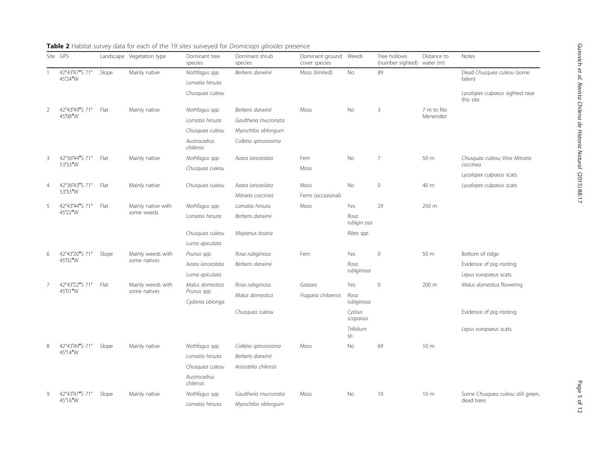|                | Site GPS                  |       | Landscape Vegetation type         | Dominant tree<br>species                          | Dominant shrub<br>species                                            | Dominant ground<br>cover species | Weeds                | Tree hollows<br>(number sighted) | Distance to<br>water (m)  | Notes                                        |
|----------------|---------------------------|-------|-----------------------------------|---------------------------------------------------|----------------------------------------------------------------------|----------------------------------|----------------------|----------------------------------|---------------------------|----------------------------------------------|
|                | 42°43'47"S 71°<br>45'24"W | Slope | Mainly native                     | Nothfagus spp.                                    | Berberis darwinii                                                    | Moss (limited)                   | <b>No</b>            | 89                               |                           | Dead Chusquea culeou (some                   |
|                |                           |       |                                   | Lomatia hirsuta                                   |                                                                      |                                  |                      |                                  |                           | fallen)                                      |
|                |                           |       |                                   | Chusquea culeou                                   |                                                                      |                                  |                      |                                  |                           | Lycalopex culpaeus sighted near<br>this site |
| $\overline{2}$ | 42°43'49"S 71°<br>45'08"W | Flat  | Mainly native                     | Nothfagus spp.                                    | Berberis darwinii                                                    | Moss                             | No                   | 3                                | 7 m to Rio<br>Menendez    |                                              |
|                |                           |       |                                   | Lomatia hirsuta                                   | Gaultheria mucronata                                                 |                                  |                      |                                  |                           |                                              |
|                |                           |       |                                   | Chusquea culeou                                   | Myoschilos oblongum                                                  |                                  |                      |                                  |                           |                                              |
|                |                           |       |                                   | Austrocedrus<br>chilensis                         | Colletia spinosissima                                                |                                  |                      |                                  |                           |                                              |
| 3              | 42°36'44"S 71°            | Flat  | Mainly native                     | Nothfagus spp.                                    | Azara lanceolata                                                     | Fern                             | No                   | $\overline{7}$                   | 50 m                      | Chusquea culeou; Vine Mitraria               |
|                | 53'33"W                   |       |                                   | Chusquea culeou                                   |                                                                      | Moss                             |                      |                                  |                           | coccinea                                     |
|                |                           |       |                                   |                                                   |                                                                      |                                  |                      |                                  |                           | Lycalopex culpaeus scats                     |
| 4              | 42°36'43"S 71°<br>53'33"W | Flat  | Mainly native                     | Chusquea culeou                                   | Azara lanceolata                                                     | Moss                             | <b>No</b>            | $\mathbf{0}$                     | 40 m                      | Lycalopex culpaeus scats                     |
|                |                           |       |                                   |                                                   | Mitraria coccinea                                                    | Ferns (occasional)               |                      |                                  |                           |                                              |
| 5              | 42°43'44"S 71°<br>45'22"W | Flat  | Mainly native with<br>some weeds  | Nothfagus spp.                                    | Lomatia hirsuta                                                      | Moss                             | Yes                  | 29                               | 250 m                     |                                              |
|                |                           |       |                                   | Lomatia hirsuta                                   | Berberis darwinii                                                    |                                  | Rosa<br>rubigin osa  |                                  |                           |                                              |
|                |                           |       |                                   | Chusquea culeou                                   | Maytenus boaria                                                      |                                  | Ribes spp.           |                                  |                           |                                              |
|                |                           |       |                                   | Luma apiculata                                    |                                                                      |                                  |                      |                                  |                           |                                              |
| 6              | 42°43'20"S 71°<br>45'02"W | Slope | Mainly weeds with<br>some natives | Prunus spp.                                       | Rosa rubiginosa                                                      | Fern                             | Yes                  | $\mathbf{0}$                     | 50 m                      | Bottom of ridge                              |
|                |                           |       |                                   | Azara lanceolata                                  | Berberis darwinii                                                    |                                  | Rosa<br>rubiginosa   |                                  |                           | Evidence of pig rooting                      |
|                |                           |       |                                   | Luma apiculata                                    |                                                                      |                                  |                      |                                  |                           | Lepus europaeus scats                        |
| 7              | 42°43'22"S 71°            | Flat  | Mainly weeds with<br>some natives | Malus domestica<br>Prunus spp.<br>Cydonia oblonga | Rosa rubiginosa<br>Grasses<br>Malus domestica<br>Fragaria chiloensis | Yes                              | $\mathbf{0}$         | 200 m                            | Malus domestica flowering |                                              |
|                | 45'01"W                   |       |                                   |                                                   |                                                                      |                                  | Rosa<br>rubiginosa   |                                  |                           |                                              |
|                |                           |       |                                   |                                                   | Chusquea culeou                                                      |                                  | Cytisus<br>scoparius |                                  |                           | Evidence of pig rooting                      |
|                |                           |       |                                   |                                                   |                                                                      |                                  | Trifolium<br>sp.     |                                  |                           | Lepus europaeus scats                        |
| 8              | 42°43'49"S 71°            | Slope | Mainly native                     | Nothfagus spp.                                    | Colletia spinosissima                                                | Moss                             | No                   | 69                               | 10 <sub>m</sub>           |                                              |
|                | 45'14"W                   |       |                                   | Lomatia hirsuta                                   | Berberis darwinii                                                    |                                  |                      |                                  |                           |                                              |
|                |                           |       |                                   | Chusquea culeou                                   | Aristotelia chilensis                                                |                                  |                      |                                  |                           |                                              |
|                |                           |       |                                   | Austrocedrus<br>chilensis                         |                                                                      |                                  |                      |                                  |                           |                                              |
| $\mathsf{Q}$   | 42°43'47"S 71°            | Slope | Mainly native                     | Nothfagus spp.                                    | Gaultheria mucronata                                                 | Moss                             | No                   | 10                               | 10 m                      | Some Chusquea culeou still green,            |
|                | 45'16"W                   |       |                                   | Lomatia hirsuta                                   | Myoschilos oblongum                                                  |                                  |                      |                                  |                           | dead trees                                   |

# <span id="page-4-0"></span>Table 2 Habitat survey data for each of the 19 sites surveyed for Dromiciops gliroides presence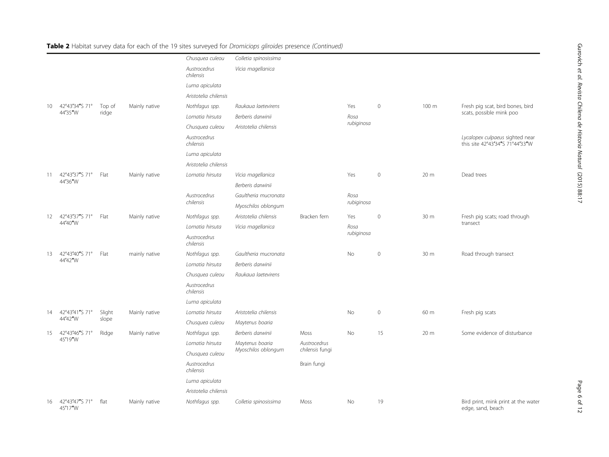|    |                           |        |               | Chusquea culeou           | Colletia spinosissima |                 |            |              |       |                                                                    |
|----|---------------------------|--------|---------------|---------------------------|-----------------------|-----------------|------------|--------------|-------|--------------------------------------------------------------------|
|    |                           |        |               | Austrocedrus<br>chilensis | Vicia magellanica     |                 |            |              |       |                                                                    |
|    |                           |        |               | Luma apiculata            |                       |                 |            |              |       |                                                                    |
|    |                           |        |               | Aristotelia chilensis     |                       |                 |            |              |       |                                                                    |
| 10 | 42°43'34"S 71°            | Top of | Mainly native | Nothfagus spp.            | Raukaua laetevirens   |                 | Yes        | $\mathbf{0}$ | 100 m | Fresh pig scat, bird bones, bird                                   |
|    | 44'35"W                   | ridge  |               | Lomatia hirsuta           | Berberis darwinii     |                 | Rosa       |              |       | scats, possible mink poo                                           |
|    |                           |        |               | Chusquea culeou           | Aristotelia chilensis |                 | rubiginosa |              |       |                                                                    |
|    |                           |        |               | Austrocedrus<br>chilensis |                       |                 |            |              |       | Lycalopex culpaeus sighted near<br>this site 42°43'34"S 71°44'33"W |
|    |                           |        |               | Luma apiculata            |                       |                 |            |              |       |                                                                    |
|    |                           |        |               | Aristotelia chilensis     |                       |                 |            |              |       |                                                                    |
| 11 | 42°43'37"S 71°            | Flat   | Mainly native | Lomatia hirsuta           | Vicia magellanica     |                 | Yes        | $\mathbf{0}$ | 20 m  | Dead trees                                                         |
|    | 44'36"W                   |        |               |                           | Berberis darwinii     |                 |            |              |       |                                                                    |
|    |                           |        |               | Austrocedrus              | Gaultheria mucronata  |                 | Rosa       |              |       |                                                                    |
|    |                           |        |               | chilensis                 | Myoschilos oblongum   |                 | rubiginosa |              |       |                                                                    |
| 12 | 42°43'37"S 71°            | Flat   | Mainly native | Nothfagus spp.            | Aristotelia chilensis | Bracken fern    | Yes        | $\,0\,$      | 30 m  | Fresh pig scats; road through                                      |
|    | 44'40"W                   |        |               | Lomatia hirsuta           | Vicia magellanica     |                 | Rosa       |              |       | transect                                                           |
|    |                           |        |               | Austrocedrus<br>chilensis |                       |                 | rubiginosa |              |       |                                                                    |
| 13 | 42°43'40"S 71°            | Flat   | mainly native | Nothfagus spp.            | Gaultheria mucronata  |                 | No         | $\mathbf 0$  | 30 m  | Road through transect                                              |
|    | 44'42"W                   |        |               | Lomatia hirsuta           | Berberis darwinii     |                 |            |              |       |                                                                    |
|    |                           |        |               | Chusquea culeou           | Raukaua laetevirens   |                 |            |              |       |                                                                    |
|    |                           |        |               | Austrocedrus<br>chilensis |                       |                 |            |              |       |                                                                    |
|    |                           |        |               | Luma apiculata            |                       |                 |            |              |       |                                                                    |
| 14 | 42°43'41"S 71°            | Slight | Mainly native | Lomatia hirsuta           | Aristotelia chilensis |                 | No         | $\mathbf 0$  | 60 m  | Fresh pig scats                                                    |
|    | 44'42"W                   | slope  |               | Chusquea culeou           | Maytenus boaria       |                 |            |              |       |                                                                    |
| 15 | 42°43'46"S 71°            | Ridge  | Mainly native | Nothfagus spp.            | Berberis darwinii     | Moss            | No         | 15           | 20 m  | Some evidence of disturbance                                       |
|    | 45'19"W                   |        |               | Lomatia hirsuta           | Maytenus boaria       | Austrocedrus    |            |              |       |                                                                    |
|    |                           |        |               | Chusquea culeou           | Myoschilos oblongum   | chilensis fungi |            |              |       |                                                                    |
|    |                           |        |               | Austrocedrus<br>chilensis |                       | Brain fungi     |            |              |       |                                                                    |
|    |                           |        |               | Luma apiculata            |                       |                 |            |              |       |                                                                    |
|    |                           |        |               | Aristotelia chilensis     |                       |                 |            |              |       |                                                                    |
| 16 | 42°43'47"S 71°<br>45'17"W | flat   | Mainly native | Nothfagus spp.            | Colletia spinosissima | Moss            | <b>No</b>  | 19           |       | Bird print, mink print at the water<br>edge, sand, beach           |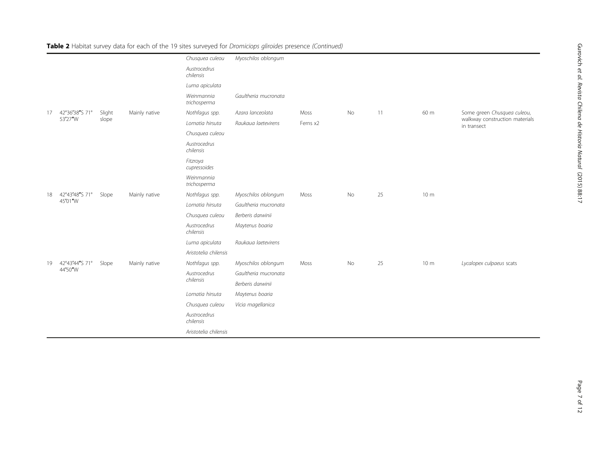| Table 2 Habitat survey data for each of the 19 sites surveyed for Dromiciops gliroides presence (Continued) |  |  |
|-------------------------------------------------------------------------------------------------------------|--|--|
|-------------------------------------------------------------------------------------------------------------|--|--|

|    |                |        |               | Chusquea culeou            | Myoschilos oblongum  |          |    |    |                 |                                               |
|----|----------------|--------|---------------|----------------------------|----------------------|----------|----|----|-----------------|-----------------------------------------------|
|    |                |        |               | Austrocedrus<br>chilensis  |                      |          |    |    |                 |                                               |
|    |                |        |               | Luma apiculata             |                      |          |    |    |                 |                                               |
|    |                |        |               | Weinmannia<br>trichosperma | Gaultheria mucronata |          |    |    |                 |                                               |
| 17 | 42°36'38"S 71° | Slight | Mainly native | Nothfagus spp.             | Azara lanceolata     | Moss     | No | 11 | 60 m            | Some green Chusquea culeou,                   |
|    | 53'27"W        | slope  |               | Lomatia hirsuta            | Raukaua laetevirens  | Ferns x2 |    |    |                 | walkway construction materials<br>in transect |
|    |                |        |               | Chusquea culeou            |                      |          |    |    |                 |                                               |
|    |                |        |               | Austrocedrus<br>chilensis  |                      |          |    |    |                 |                                               |
|    |                |        |               | Fitzroya<br>cupressoides   |                      |          |    |    |                 |                                               |
|    |                |        |               | Weinmannia<br>trichosperma |                      |          |    |    |                 |                                               |
| 18 | 42°43'48"S 71° | Slope  | Mainly native | Nothfagus spp.             | Myoschilos oblongum  | Moss     | No | 25 | 10 <sub>m</sub> |                                               |
|    | 45'01"W        |        |               | Lomatia hirsuta            | Gaultheria mucronata |          |    |    |                 |                                               |
|    |                |        |               | Chusquea culeou            | Berberis darwinii    |          |    |    |                 |                                               |
|    |                |        |               | Austrocedrus<br>chilensis  | Maytenus boaria      |          |    |    |                 |                                               |
|    |                |        |               | Luma apiculata             | Raukaua laetevirens  |          |    |    |                 |                                               |
|    |                |        |               | Aristotelia chilensis      |                      |          |    |    |                 |                                               |
| 19 | 42°43'44"S 71° | Slope  | Mainly native | Nothfagus spp.             | Myoschilos oblongum  | Moss     | No | 25 | 10 <sub>m</sub> | Lycalopex culpaeus scats                      |
|    | 44'50"W        |        |               | Austrocedrus               | Gaultheria mucronata |          |    |    |                 |                                               |
|    |                |        |               | chilensis                  | Berberis darwinii    |          |    |    |                 |                                               |
|    |                |        |               | Lomatia hirsuta            | Maytenus boaria      |          |    |    |                 |                                               |
|    |                |        |               | Chusquea culeou            | Vicia magellanica    |          |    |    |                 |                                               |
|    |                |        |               | Austrocedrus<br>chilensis  |                      |          |    |    |                 |                                               |
|    |                |        |               | Aristotelia chilensis      |                      |          |    |    |                 |                                               |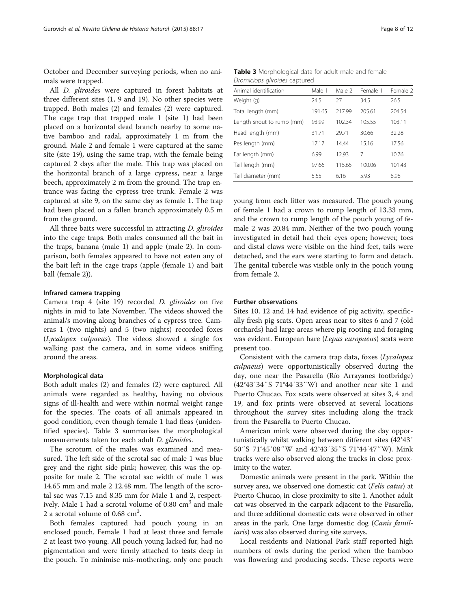October and December surveying periods, when no animals were trapped.

All D. gliroides were captured in forest habitats at three different sites (1, 9 and 19). No other species were trapped. Both males (2) and females (2) were captured. The cage trap that trapped male 1 (site 1) had been placed on a horizontal dead branch nearby to some native bamboo and radal, approximately 1 m from the ground. Male 2 and female 1 were captured at the same site (site 19), using the same trap, with the female being captured 2 days after the male. This trap was placed on the horizontal branch of a large cypress, near a large beech, approximately 2 m from the ground. The trap entrance was facing the cypress tree trunk. Female 2 was captured at site 9, on the same day as female 1. The trap had been placed on a fallen branch approximately 0.5 m from the ground.

All three baits were successful in attracting D. gliroides into the cage traps. Both males consumed all the bait in the traps, banana (male 1) and apple (male 2). In comparison, both females appeared to have not eaten any of the bait left in the cage traps (apple (female 1) and bait ball (female 2)).

#### Infrared camera trapping

Camera trap 4 (site 19) recorded D. gliroides on five nights in mid to late November. The videos showed the animal/s moving along branches of a cypress tree. Cameras 1 (two nights) and 5 (two nights) recorded foxes (Lycalopex culpaeus). The videos showed a single fox walking past the camera, and in some videos sniffing around the areas.

## Morphological data

Both adult males (2) and females (2) were captured. All animals were regarded as healthy, having no obvious signs of ill-health and were within normal weight range for the species. The coats of all animals appeared in good condition, even though female 1 had fleas (unidentified species). Table 3 summarises the morphological measurements taken for each adult D. gliroides.

The scrotum of the males was examined and measured. The left side of the scrotal sac of male 1 was blue grey and the right side pink; however, this was the opposite for male 2. The scrotal sac width of male 1 was 14.65 mm and male 2 12.48 mm. The length of the scrotal sac was 7.15 and 8.35 mm for Male 1 and 2, respectively. Male 1 had a scrotal volume of  $0.80 \text{ cm}^3$  and male 2 a scrotal volume of  $0.68 \text{ cm}^3$ .

Both females captured had pouch young in an enclosed pouch. Female 1 had at least three and female 2 at least two young. All pouch young lacked fur, had no pigmentation and were firmly attached to teats deep in the pouch. To minimise mis-mothering, only one pouch

Table 3 Morphological data for adult male and female Dromiciops gliroides captured

| Animal identification     | Male 1 | Male 2 | Female 1 | Female 2 |
|---------------------------|--------|--------|----------|----------|
| Weight (g)                | 24.5   | 27     | 34.5     | 26.5     |
| Total length (mm)         | 191.65 | 217.99 | 205.61   | 204.54   |
| Length snout to rump (mm) | 93.99  | 102.34 | 105.55   | 103.11   |
| Head length (mm)          | 31.71  | 29.71  | 30.66    | 32.28    |
| Pes length (mm)           | 17.17  | 14.44  | 15.16    | 17.56    |
| Ear length (mm)           | 6.99   | 12.93  | 7        | 10.76    |
| Tail length (mm)          | 97.66  | 115.65 | 100.06   | 101.43   |
| Tail diameter (mm)        | 5.55   | 6.16   | 5.93     | 8.98     |

young from each litter was measured. The pouch young of female 1 had a crown to rump length of 13.33 mm, and the crown to rump length of the pouch young of female 2 was 20.84 mm. Neither of the two pouch young investigated in detail had their eyes open; however, toes and distal claws were visible on the hind feet, tails were detached, and the ears were starting to form and detach. The genital tubercle was visible only in the pouch young from female 2.

#### Further observations

Sites 10, 12 and 14 had evidence of pig activity, specifically fresh pig scats. Open areas near to sites 6 and 7 (old orchards) had large areas where pig rooting and foraging was evident. European hare (Lepus europaeus) scats were present too.

Consistent with the camera trap data, foxes (Lycalopex culpaeus) were opportunistically observed during the day, one near the Pasarella (Río Arrayanes footbridge) (42°43′34″S 71°44′33″W) and another near site 1 and Puerto Chucao. Fox scats were observed at sites 3, 4 and 19, and fox prints were observed at several locations throughout the survey sites including along the track from the Pasarella to Puerto Chucao.

American mink were observed during the day opportunistically whilst walking between different sites (42°43′ 50″S 71°45′08″W and 42°43′35″S 71°44′47″W). Mink tracks were also observed along the tracks in close proximity to the water.

Domestic animals were present in the park. Within the survey area, we observed one domestic cat (*Felis catus*) at Puerto Chucao, in close proximity to site 1. Another adult cat was observed in the carpark adjacent to the Pasarella, and three additional domestic cats were observed in other areas in the park. One large domestic dog (Canis familiaris) was also observed during site surveys.

Local residents and National Park staff reported high numbers of owls during the period when the bamboo was flowering and producing seeds. These reports were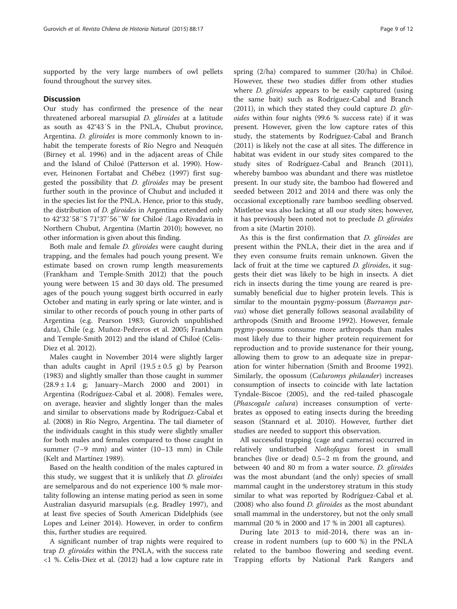supported by the very large numbers of owl pellets found throughout the survey sites.

### **Discussion**

Our study has confirmed the presence of the near threatened arboreal marsupial D. gliroides at a latitude as south as 42°43′S in the PNLA, Chubut province, Argentina. D. gliroides is more commonly known to inhabit the temperate forests of Río Negro and Neuquén (Birney et al. [1996\)](#page-10-0) and in the adjacent areas of Chile and the Island of Chiloé (Patterson et al. [1990\)](#page-10-0). However, Heinonen Fortabat and Chébez ([1997](#page-10-0)) first suggested the possibility that D. gliroides may be present further south in the province of Chubut and included it in the species list for the PNLA. Hence, prior to this study, the distribution of D. gliroides in Argentina extended only to 42°32′58″S 71°37′56″W for Chiloé /Lago Rivadavia in Northern Chubut, Argentina (Martin [2010](#page-10-0)); however, no other information is given about this finding.

Both male and female D. gliroides were caught during trapping, and the females had pouch young present. We estimate based on crown rump length measurements (Frankham and Temple-Smith [2012\)](#page-10-0) that the pouch young were between 15 and 30 days old. The presumed ages of the pouch young suggest birth occurred in early October and mating in early spring or late winter, and is similar to other records of pouch young in other parts of Argentina (e.g. Pearson [1983](#page-10-0); Gurovich unpublished data), Chile (e.g. Muñoz-Pedreros et al. [2005](#page-10-0); Frankham and Temple-Smith [2012](#page-10-0)) and the island of Chiloé (Celis-Diez et al. [2012](#page-10-0)).

Males caught in November 2014 were slightly larger than adults caught in April  $(19.5 \pm 0.5 \text{ g})$  by Pearson ([1983](#page-10-0)) and slightly smaller than those caught in summer  $(28.9 \pm 1.4 \text{ g}; \text{January}-\text{March } 2000 \text{ and } 2001) \text{ in}$ Argentina (Rodríguez-Cabal et al. [2008](#page-10-0)). Females were, on average, heavier and slightly longer than the males and similar to observations made by Rodríguez-Cabal et al. ([2008](#page-10-0)) in Río Negro, Argentina. The tail diameter of the individuals caught in this study were slightly smaller for both males and females compared to those caught in summer (7–9 mm) and winter (10–13 mm) in Chile (Kelt and Martínez [1989](#page-10-0)).

Based on the health condition of the males captured in this study, we suggest that it is unlikely that *D. gliroides* are semelparous and do not experience 100 % male mortality following an intense mating period as seen in some Australian dasyurid marsupials (e.g. Bradley [1997\)](#page-10-0), and at least five species of South American Didelphids (see Lopes and Leiner [2014\)](#page-10-0). However, in order to confirm this, further studies are required.

A significant number of trap nights were required to trap *D. gliroides* within the PNLA, with the success rate <1 %. Celis-Diez et al. ([2012](#page-10-0)) had a low capture rate in

spring (2/ha) compared to summer (20/ha) in Chiloé. However, these two studies differ from other studies where *D. gliroides* appears to be easily captured (using the same bait) such as Rodríguez-Cabal and Branch  $(2011)$  $(2011)$ , in which they stated they could capture *D. glir*oides within four nights (99.6 % success rate) if it was present. However, given the low capture rates of this study, the statements by Rodríguez-Cabal and Branch ([2011\)](#page-10-0) is likely not the case at all sites. The difference in habitat was evident in our study sites compared to the study sites of Rodríguez-Cabal and Branch ([2011](#page-10-0)), whereby bamboo was abundant and there was mistletoe present. In our study site, the bamboo had flowered and seeded between 2012 and 2014 and there was only the occasional exceptionally rare bamboo seedling observed. Mistletoe was also lacking at all our study sites; however, it has previously been noted not to preclude D. gliroides from a site (Martin [2010\)](#page-10-0).

As this is the first confirmation that D. gliroides are present within the PNLA, their diet in the area and if they even consume fruits remain unknown. Given the lack of fruit at the time we captured *D. gliroides*, it suggests their diet was likely to be high in insects. A diet rich in insects during the time young are reared is presumably beneficial due to higher protein levels. This is similar to the mountain pygmy-possum (Burramys parvus) whose diet generally follows seasonal availability of arthropods (Smith and Broome [1992](#page-11-0)). However, female pygmy-possums consume more arthropods than males most likely due to their higher protein requirement for reproduction and to provide sustenance for their young, allowing them to grow to an adequate size in preparation for winter hibernation (Smith and Broome [1992](#page-11-0)). Similarly, the opossum (Caluromys philander) increases consumption of insects to coincide with late lactation Tyndale-Biscoe ([2005](#page-11-0)), and the red-tailed phascogale (Phascogale calura) increases consumption of vertebrates as opposed to eating insects during the breeding season (Stannard et al. [2010\)](#page-11-0). However, further diet studies are needed to support this observation.

All successful trapping (cage and cameras) occurred in relatively undisturbed Nothofagus forest in small branches (live or dead) 0.5–2 m from the ground, and between 40 and 80 m from a water source. D. gliroides was the most abundant (and the only) species of small mammal caught in the understorey stratum in this study similar to what was reported by Rodríguez-Cabal et al. ([2008\)](#page-10-0) who also found *D. gliroides* as the most abundant small mammal in the understorey, but not the only small mammal (20 % in 2000 and 17 % in 2001 all captures).

During late 2013 to mid-2014, there was an increase in rodent numbers (up to 600 %) in the PNLA related to the bamboo flowering and seeding event. Trapping efforts by National Park Rangers and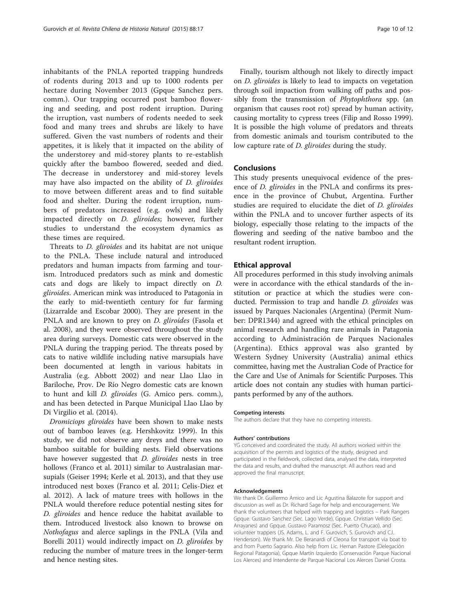inhabitants of the PNLA reported trapping hundreds of rodents during 2013 and up to 1000 rodents per hectare during November 2013 (Gpque Sanchez pers. comm.). Our trapping occurred post bamboo flowering and seeding, and post rodent irruption. During the irruption, vast numbers of rodents needed to seek food and many trees and shrubs are likely to have suffered. Given the vast numbers of rodents and their appetites, it is likely that it impacted on the ability of the understorey and mid-storey plants to re-establish quickly after the bamboo flowered, seeded and died. The decrease in understorey and mid-storey levels may have also impacted on the ability of D. gliroides to move between different areas and to find suitable food and shelter. During the rodent irruption, numbers of predators increased (e.g. owls) and likely impacted directly on D. gliroides; however, further studies to understand the ecosystem dynamics as these times are required.

Threats to D. gliroides and its habitat are not unique to the PNLA. These include natural and introduced predators and human impacts from farming and tourism. Introduced predators such as mink and domestic cats and dogs are likely to impact directly on D. gliroides. American mink was introduced to Patagonia in the early to mid-twentieth century for fur farming (Lizarralde and Escobar [2000](#page-10-0)). They are present in the PNLA and are known to prey on *D. gliroides* (Fasola et al. [2008](#page-10-0)), and they were observed throughout the study area during surveys. Domestic cats were observed in the PNLA during the trapping period. The threats posed by cats to native wildlife including native marsupials have been documented at length in various habitats in Australia (e.g. Abbott [2002](#page-10-0)) and near Llao Llao in Bariloche, Prov. De Río Negro domestic cats are known to hunt and kill D. gliroides (G. Amico pers. comm.), and has been detected in Parque Municipal Llao Llao by Di Virgilio et al. [\(2014](#page-10-0)).

Dromiciops gliroides have been shown to make nests out of bamboo leaves (e.g. Hershkovitz [1999\)](#page-10-0). In this study, we did not observe any dreys and there was no bamboo suitable for building nests. Field observations have however suggested that *D. gliroides* nests in tree hollows (Franco et al. [2011](#page-10-0)) similar to Australasian marsupials (Geiser 1994; Kerle et al. [2013](#page-10-0)), and that they use introduced nest boxes (Franco et al. [2011](#page-10-0); Celis-Diez et al. [2012](#page-10-0)). A lack of mature trees with hollows in the PNLA would therefore reduce potential nesting sites for D. gliroides and hence reduce the habitat available to them. Introduced livestock also known to browse on Nothofagus and alerce saplings in the PNLA (Vila and Borelli [2011\)](#page-11-0) would indirectly impact on *D. gliroides* by reducing the number of mature trees in the longer-term and hence nesting sites.

Finally, tourism although not likely to directly impact on D. gliroides is likely to lead to impacts on vegetation through soil impaction from walking off paths and possibly from the transmission of *Phytophthora* spp. (an organism that causes root rot) spread by human activity, causing mortality to cypress trees (Filip and Rosso [1999](#page-10-0)). It is possible the high volume of predators and threats from domestic animals and tourism contributed to the low capture rate of *D. gliroides* during the study.

## **Conclusions**

This study presents unequivocal evidence of the presence of D. gliroides in the PNLA and confirms its presence in the province of Chubut, Argentina. Further studies are required to elucidate the diet of D. gliroides within the PNLA and to uncover further aspects of its biology, especially those relating to the impacts of the flowering and seeding of the native bamboo and the resultant rodent irruption.

#### Ethical approval

All procedures performed in this study involving animals were in accordance with the ethical standards of the institution or practice at which the studies were conducted. Permission to trap and handle *D. gliroides* was issued by Parques Nacionales (Argentina) (Permit Number: DPR1344) and agreed with the ethical principles on animal research and handling rare animals in Patagonia according to Administración de Parques Nacionales (Argentina). Ethics approval was also granted by Western Sydney University (Australia) animal ethics committee, having met the Australian Code of Practice for the Care and Use of Animals for Scientific Purposes. This article does not contain any studies with human participants performed by any of the authors.

#### Competing interests

The authors declare that they have no competing interests.

#### Authors' contributions

YG conceived and coordinated the study. All authors worked within the acquisition of the permits and logistics of the study, designed and participated in the fieldwork, collected data, analysed the data, interpreted the data and results, and drafted the manuscript. All authors read and approved the final manuscript.

#### Acknowledgements

We thank Dr. Guillermo Amico and Lic Agustina Balazote for support and discussion as well as Dr. Richard Sage for help and encouragement. We thank the volunteers that helped with trapping and logistics – Park Rangers Gpque. Gustavo Sanchez (Sec. Lago Verde), Gpque. Christian Vellido (Sec. Arrayanes) and Gpque. Gustavo Paramosz (Sec. Puerto Chucao), and volunteer trappers (JS. Adams, L. and F. Gurovich, S. Gurovich and CJ. Henderson). We thank Mr. De Beranardi of Cleona for transport via boat to and from Puerto Sagrario. Also help from Lic. Hernan Pastore (Delegación Regional Patagonia), Gpque Martín Izquierdo (Conservación Parque Nacional Los Alerces) and Intendente de Parque Nacional Los Alerces Daniel Crosta.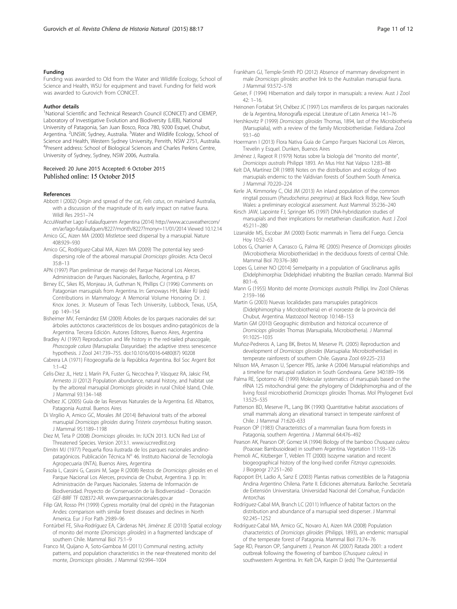#### <span id="page-10-0"></span>Funding

Funding was awarded to Old from the Water and Wildlife Ecology, School of Science and Health, WSU for equipment and travel. Funding for field work was awarded to Gurovich from CONICET.

#### Author details

<sup>1</sup>National Scientific and Technical Research Council (CONICET) and CIEMEP, Laboratory of Investigative Evolution and Biodiversity (LIEB), National University of Patagonia, San Juan Bosco, Roca 780, 9200 Esquel, Chubut, Argentina. <sup>2</sup>UNSW, Sydney, Australia. <sup>3</sup>Water and Wildlife Ecology, School of Science and Health, Western Sydney University, Penrith, NSW 2751, Australia. <sup>4</sup>Present address: School of Biological Sciences and Charles Perkins Centre, University of Sydney, Sydney, NSW 2006, Australia.

#### Received: 20 June 2015 Accepted: 6 October 2015 Published online: 15 October 2015

#### References

- Abbott I (2002) Origin and spread of the cat, Felis catus, on mainland Australia, with a discussion of the magnitude of its early impact on native fauna. Wildl Res 29:51–74
- AccuWeather Lago Futalaufquenm Argentina (2014) [http://www.accuweathercom/](http://www.accuweathercom/en/ar/lago-futalaufquen/8227/month/8227?monyr=11/01/2014) [en/ar/lago-futalaufquen/8227/month/8227?monyr=11/01/2014](http://www.accuweathercom/en/ar/lago-futalaufquen/8227/month/8227?monyr=11/01/2014) Viewed 10.12.14
- Amico GC, Aizen MA (2000) Mistletoe seed dispersal by a marsupial. Nature 408:929–930
- Amico GC, Rodríguez-Cabal MA, Aizen MA (2009) The potential key seeddispersing role of the arboreal marsupial Dromiciops gliroides. Acta Oecol 35:8–13
- APN (1997) Plan preliminar de manejo del Parque Nacional Los Alerces. Administracion de Parques Nacionales, Bariloche, Argentina, p 87
- Birney EC, Sikes RS, Monjeau JA, Guthman N, Phillips CJ (1996) Comments on Patagonian marsupials from Argentina. In: Genoways HH, Baker RJ (eds) Contributions in Mammalogy: A Memorial Volume Honoring Dr. J. Knox Jones. Jr. Museum of Texas Tech University, Lubbock, Texas, USA, pp 149–154
- Bisheimer MV, Fernández EM (2009) Árboles de los parques nacionales del sur: árboles autóctonos característicos de los bosques andino-patagónicos de la Argentina. Tercera Edición. Autores Editores, Buenos Aires, Argentina
- Bradley AJ (1997) Reproduction and life history in the red-tailed phascogale, Phascogale calura (Marsupialia: Dasyuridae): the adaptive stress senescence hypothesis. J Zool 241:739–755. doi[:10.1016/0016-6480\(87\) 90208](http://dx.doi.org/10.1016/0016-6480(87)%2090208)
- Cabrera LA (1971) Fitogeografía de la República Argentina. Bol Soc Argent Bot 1:1–42
- Celis-Diez JL, Hetz J, Marín PA, Fuster G, Necochea P, Vásquez RA, Jaksic FM, Armesto JJ (2012) Population abundance, natural history, and habitat use by the arboreal marsupial Dromiciops gliroides in rural Chiloé Island, Chile. J Mammal 93:134–148
- Chébez JC (2005) Guía de las Reservas Naturales de la Argentina. Ed. Albatros, Patagonia Austral. Buenos Aires
- Di Virgilio A, Amico GC, Morales JM (2014) Behavioral traits of the arboreal marsupial Dromiciops gliroides during Tristerix corymbosus fruiting season. J Mammal 95:1189–1198
- Diez M, Teta P (2008) Dromiciops gliroides. In: IUCN 2013. IUCN Red List of Threatened Species. Version 2013.1. [www.iucnredlist.org](http://www.iucnredlist.org/)
- Dimitri MJ (1977) Pequeña flora ilustrada de los parques nacionales andinopatagónicos. Publicación Técnica Nº 46. Instituto Nacional de Tecnología Agropecuaria (INTA), Buenos Aires, Argentina
- Fasola L, Cassini G, Cassini M, Sage R (2008) Restos de Dromiciops gliroides en el Parque Nacional Los Alerces, provincia de Chubut, Argentina. 3 pp. In: Administración de Parques Nacionales. Sistema de Información de Biodiversidad. Proyecto de Conservación de la Biodiversidad - Donación GEF-BIRF TF 028372-AR. [www.parquesnacionales.gov.ar](http://www.parquesnacionales.gov.ar/)
- Filip GM, Rosso PH (1999) Cypress mortality (mal del ciprés) in the Patagonian Andes: comparison with similar forest diseases and declines in North America. Eur J For Path 29:89–96
- Fontúrbel FE, Silva-Rodríguez EA, Cárdenas NH, Jiménez JE (2010) Spatial ecology of monito del monte (Dromiciops gliroides) in a fragmented landscape of southern Chile. Mammal Biol 75:1–9
- Franco M, Quijano A, Soto-Gamboa M (2011) Communal nesting, activity patterns, and population characteristics in the near-threatened monito del monte, Dromiciops gliroides. J Mammal 92:994–1004
- Frankham GJ, Temple-Smith PD (2012) Absence of mammary development in male Dromiciops gliroides: another link to the Australian marsupial fauna. J Mammal 93:572–578
- Geiser, F (1994) Hibernation and daily torpor in marsupials: a review. Aust J Zool 42: 1–16.
- Heinonen Fortabat SH, Chébez JC (1997) Los mamíferos de los parques nacionales de la Argentina, Monografla especial. Literature of Latin America 14:1-76
- Hershkovitz P (1999) Dromiciops gliroides Thomas, 1894, last of the Microbiotheria (Marsupialia), with a review of the family Microbiotheriidae. Fieldiana Zool 93:1–60
- Hoermann I (2013) Flora Nativa Guia de Campo Parques Nacional Los Alerces, Trevelin y Esquel. Dunken, Buenos Aires
- Jiménez J, Rageot R (1979) Notas sobre la biología del "monito del monte", Dromiciops australis Philippi 1893. An Mus Hist Nat Valpso 12:83–88
- Kelt DA, Martínez DR (1989) Notes on the distribution and ecology of two marsupials endemic to the Valdivian forests of Southern South America. J Mammal 70:220–224

Kerle JA, Kimmorley C, Old JM (2013) An inland population of the common ringtail possum (Pseudocheirus peregrinus) at Black Rock Ridge, New South Wales: a preliminary ecological assessment. Aust Mammal 35:236–240

- Kirsch JAW, Lapointe FJ, Springer MS (1997) DNA-hybridization studies of marsupials and their implications for metatherian classification. Aust J Zool 45:211–280
- Lizarralde MS, Escobar JM (2000) Exotic mammals in Tierra del Fuego. Ciencia Hoy 10:52–63
- Lobos G, Charrier A, Carrasco G, Palma RE (2005) Presence of Dromiciops gliroides (Microbiotheria: Microbiotheriidae) in the deciduous forests of central Chile. Mammal Biol 70:376–380
- Lopes G, Leiner NO (2014) Semelparity in a population of Gracilinanus agilis (Didelphimorphia: Didelphidae) inhabiting the Brazilian cerrado. Mammal Biol 80:1–6.
- Mann G (1955) Monito del monte Dromiciops australis Phillipi. Inv Zool Chilenas 2:159–166
- Martin G (2003) Nuevas localidades para marsupiales patagónicos (Didelphimorphia y Microbiotheria) en el noroeste de la provincia del Chubut, Argentina. Mastozool Neotrop 10:148–153
- Martin GM (2010) Geographic distribution and historical occurrence of Dromiciops gliroides Thomas (Marsupialia, Microbiotheria). J Mammal 91:1025–1035
- Muñoz-Pedreros A, Lang BK, Bretos M, Meserve PL (2005) Reproduction and development of Dromiciops gliroides (Marsupialia: Microbiotheriidae) in temperate rainforests of southern Chile. Gayana Zool 69:225–233
- Nilsson MA, Arnason U, Spencer PBS, Janke A (2004) Marsupial relationships and a timeline for marsupial radiation in South Gondwana. Gene 340:189–196
- Palma RE, Spotorno AE (1999) Molecular systematics of marsupials based on the rRNA 12S mitochondrial gene: the phylogeny of Didelphimorphia and of the living fossil microbiotheriid Dromiciops gliroides Thomas. Mol Phylogenet Evol 13:525–535
- Patterson BD, Meserve PL, Lang BK (1990) Quantitative habitat associations of small mammals along an elevational transect in temperate rainforest of Chile. J Mammal 71:620–633
- Pearson OP (1983) Characteristics of a mammalian fauna from forests in Patagonia, southern Argentina. J Mammal 64:476–492
- Pearson AK, Pearson OP, Gomez IA (1994) Biology of the bamboo Chusquea culeou (Poaceae: Bambusoideae) in southern Argentina. Vegetation 111:93–126
- Premoli AC, Kitzberger T, Veblen TT (2000) Isozyme variation and recent biogeographical history of the long-lived conifer Fitzroya cupressoides. J Biogeogr 27:251–260
- Rapoport EH, Ladio A, Sanz E (2003) Plantas nativas comestibles de la Patagonia Andina Argentino Chilena. Parte II. Ediciones alternatura. Bariloche. Secretaría de Extensión Universitaria. Universidad Nacional del Comahue, Fundación Antorchas
- Rodríguez-Cabal MA, Branch LC (2011) Influence of habitat factors on the distribution and abundance of a marsupial seed disperser. J Mammal 92:245–1252
- Rodríguez-Cabal MA, Amico GC, Novaro AJ, Aizen MA (2008) Population characteristics of Dromiciops gliroides (Philippi, 1893), an endemic marsupial of the temperate forest of Patagonia. Mammal Biol 73:74–76
- Sage RD, Pearson OP, Sanguinetti J, Pearson AK (2007) Ratada 2001: a rodent outbreak following the flowering of bamboo (Chusquea culeou) in southwestern Argentina. In: Kelt DA, Kaspin D (eds) The Quintessential